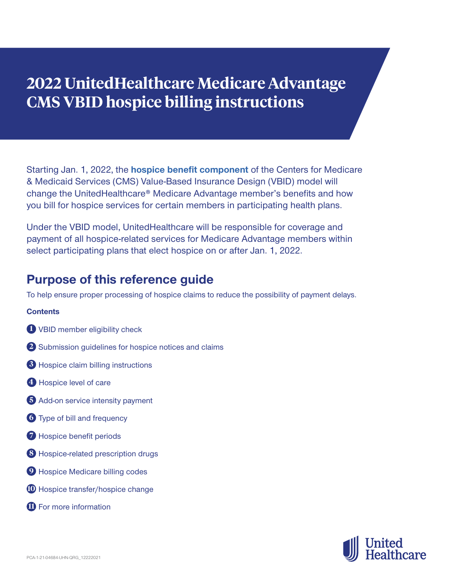# **2022 UnitedHealthcare Medicare Advantage CMS VBID hospice billing instructions**

Starting Jan. 1, 2022, the **[hospice benefit component](https://innovation.cms.gov/innovation-models/vbid-hospice-benefit-overview)** of the Centers for Medicare & Medicaid Services (CMS) Value-Based Insurance Design (VBID) model will change the UnitedHealthcare® Medicare Advantage member's benefits and how you bill for hospice services for certain members in participating health plans.

Under the VBID model, UnitedHealthcare will be responsible for coverage and payment of all hospice-related services for Medicare Advantage members within select participating plans that elect hospice on or after Jan. 1, 2022.

### **Purpose of this reference guide**

To help ensure proper processing of hospice claims to reduce the possibility of payment delays.

### **Contents**

- **1** VBID member eligibility check
- **2** Submission guidelines for hospice notices and claims
- **3** Hospice claim billing instructions
- **4** Hospice level of care
- **5** Add-on service intensity payment
- **6** Type of bill and frequency
- **7** Hospice benefit periods
- **8** Hospice-related prescription drugs
- **9** Hospice Medicare billing codes
- **10** Hospice transfer/hospice change
- **11** For more information

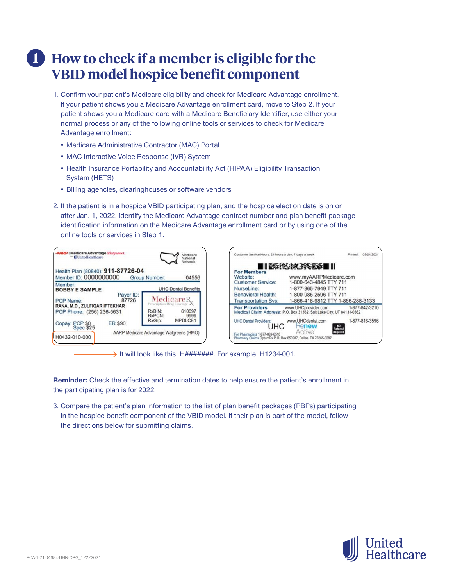### **1 How to check if a member is eligible for the VBID model hospice benefit component**

- 1. Confirm your patient's Medicare eligibility and check for Medicare Advantage enrollment. If your patient shows you a Medicare Advantage enrollment card, move to Step 2. If your patient shows you a Medicare card with a Medicare Beneficiary Identifier, use either your normal process or any of the following online tools or services to check for Medicare Advantage enrollment:
	- Medicare Administrative Contractor (MAC) Portal
	- MAC Interactive Voice Response (IVR) System
	- Health Insurance Portability and Accountability Act (HIPAA) Eligibility Transaction System (HETS)
	- Billing agencies, clearinghouses or software vendors
- 2. If the patient is in a hospice VBID participating plan, and the hospice election date is on or after Jan. 1, 2022, identify the Medicare Advantage contract number and plan benefit package identification information on the Medicare Advantage enrollment card or by using one of the online tools or services in Step 1.



 $\rightarrow$  It will look like this: H#######. For example, H1234-001.

**Reminder:** Check the effective and termination dates to help ensure the patient's enrollment in the participating plan is for 2022.

3. Compare the patient's plan information to the list of plan benefit packages (PBPs) participating in the hospice benefit component of the VBID model. If their plan is part of the model, follow the directions below for submitting claims.

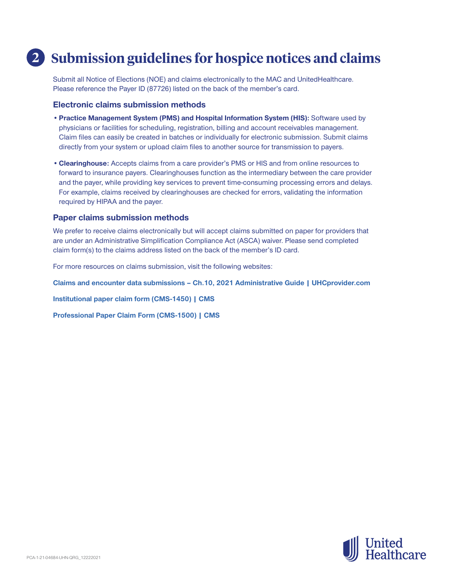### **2 Submission guidelines for hospice notices and claims**

Submit all Notice of Elections (NOE) and claims electronically to the MAC and UnitedHealthcare. Please reference the Payer ID (87726) listed on the back of the member's card.

#### **Electronic claims submission methods**

- •**Practice Management System (PMS) and Hospital Information System (HIS):** Software used by physicians or facilities for scheduling, registration, billing and account receivables management. Claim files can easily be created in batches or individually for electronic submission. Submit claims directly from your system or upload claim files to another source for transmission to payers.
- **•Clearinghouse:** Accepts claims from a care provider's PMS or HIS and from online resources to forward to insurance payers. Clearinghouses function as the intermediary between the care provider and the payer, while providing key services to prevent time-consuming processing errors and delays. For example, claims received by clearinghouses are checked for errors, validating the information required by HIPAA and the payer.

#### **Paper claims submission methods**

We prefer to receive claims electronically but will accept claims submitted on paper for providers that are under an Administrative Simplification Compliance Act (ASCA) waiver. Please send completed claim form(s) to the claims address listed on the back of the member's ID card.

For more resources on claims submission, visit the following websites:

**[Claims and encounter data submissions – Ch.10, 2021 Administrative Guide | UHCprovider.com](https://www.uhcprovider.com/en/admin-guides/administrative-guides-manuals-2021/ch10-our-claims-process-2021/claims-enc-data-sub-ch10-guide.html)**

**[Institutional paper claim form \(CMS-1450\) | CMS](https://www.cms.gov/Medicare/Billing/ElectronicBillingEDITrans/15_1450)**

**[Professional Paper Claim Form \(CMS-1500\) | CMS](https://www.cms.gov/Medicare/Billing/ElectronicBillingEDITrans/16_1500)**

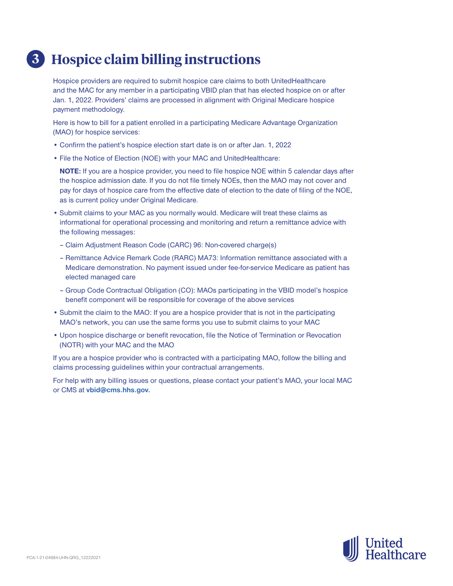# **3 Hospice claim billing instructions**

Hospice providers are required to submit hospice care claims to both UnitedHealthcare and the MAC for any member in a participating VBID plan that has elected hospice on or after Jan. 1, 2022. Providers' claims are processed in alignment with Original Medicare hospice payment methodology.

Here is how to bill for a patient enrolled in a participating Medicare Advantage Organization (MAO) for hospice services:

- Confirm the patient's hospice election start date is on or after Jan. 1, 2022
- File the Notice of Election (NOE) with your MAC and UnitedHealthcare:

**NOTE:** If you are a hospice provider, you need to file hospice NOE within 5 calendar days after the hospice admission date. If you do not file timely NOEs, then the MAO may not cover and pay for days of hospice care from the effective date of election to the date of filing of the NOE, as is current policy under Original Medicare.

- Submit claims to your MAC as you normally would. Medicare will treat these claims as informational for operational processing and monitoring and return a remittance advice with the following messages:
	- Claim Adjustment Reason Code (CARC) 96: Non-covered charge(s)
	- Remittance Advice Remark Code (RARC) MA73: Information remittance associated with a Medicare demonstration. No payment issued under fee-for-service Medicare as patient has elected managed care
	- Group Code Contractual Obligation (CO): MAOs participating in the VBID model's hospice benefit component will be responsible for coverage of the above services
- Submit the claim to the MAO: If you are a hospice provider that is not in the participating MAO's network, you can use the same forms you use to submit claims to your MAC
- Upon hospice discharge or benefit revocation, file the Notice of Termination or Revocation (NOTR) with your MAC and the MAO

If you are a hospice provider who is contracted with a participating MAO, follow the billing and claims processing guidelines within your contractual arrangements.

For help with any billing issues or questions, please contact your patient's MAO, your local MAC or CMS at **[vbid@cms.hhs.gov](mailto:vbid%40cms.hhs.gov?subject=).**

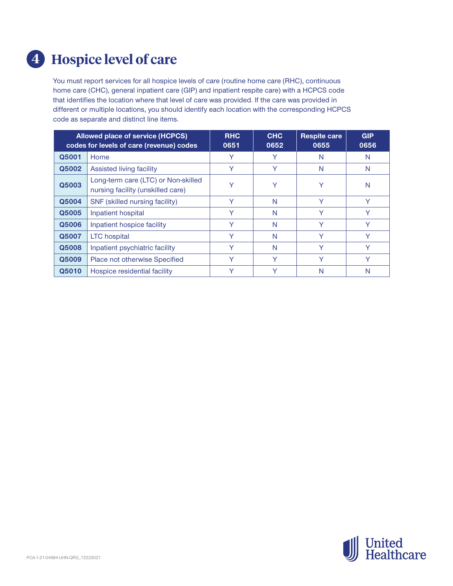# **4 Hospice level of care**

You must report services for all hospice levels of care (routine home care (RHC), continuous home care (CHC), general inpatient care (GIP) and inpatient respite care) with a HCPCS code that identifies the location where that level of care was provided. If the care was provided in different or multiple locations, you should identify each location with the corresponding HCPCS code as separate and distinct line items.

| <b>Allowed place of service (HCPCS)</b><br>codes for levels of care (revenue) codes |                                                                          | <b>RHC</b><br>0651 | <b>CHC</b><br>0652 | <b>Respite care</b><br>0655 | <b>GIP</b><br>0656 |
|-------------------------------------------------------------------------------------|--------------------------------------------------------------------------|--------------------|--------------------|-----------------------------|--------------------|
| Q5001                                                                               | Home                                                                     | $\checkmark$       | Y                  | N                           | N                  |
| Q5002                                                                               | Assisted living facility                                                 | Υ                  | Υ                  | N                           | N                  |
| Q5003                                                                               | Long-term care (LTC) or Non-skilled<br>nursing facility (unskilled care) |                    | v                  | Y                           | N                  |
| Q5004                                                                               | SNF (skilled nursing facility)                                           | $\checkmark$       | N                  | $\checkmark$                | v                  |
| Q5005                                                                               | Inpatient hospital                                                       | Y                  | N                  | Y                           | Y                  |
| Q5006                                                                               | Inpatient hospice facility                                               | $\checkmark$       | N                  | Y                           | Y                  |
| Q5007                                                                               | <b>LTC</b> hospital                                                      | v                  | N                  | Y                           | Y                  |
| Q5008                                                                               | Inpatient psychiatric facility                                           | v                  | N                  | v                           | v                  |
| Q5009                                                                               | Place not otherwise Specified                                            | v                  | ٧                  | v                           | Y                  |
| Q5010                                                                               | Hospice residential facility                                             |                    |                    | N                           | N                  |

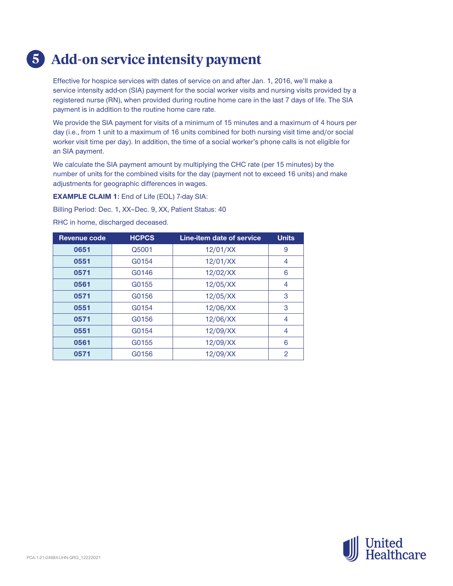# **5 Add-on service intensity payment**

Effective for hospice services with dates of service on and after Jan. 1, 2016, we'll make a service intensity add-on (SIA) payment for the social worker visits and nursing visits provided by a registered nurse (RN), when provided during routine home care in the last 7 days of life. The SIA payment is in addition to the routine home care rate.

We provide the SIA payment for visits of a minimum of 15 minutes and a maximum of 4 hours per day (i.e., from 1 unit to a maximum of 16 units combined for both nursing visit time and/or social worker visit time per day). In addition, the time of a social worker's phone calls is not eligible for an SIA payment.

We calculate the SIA payment amount by multiplying the CHC rate (per 15 minutes) by the number of units for the combined visits for the day (payment not to exceed 16 units) and make adjustments for geographic differences in wages.

**EXAMPLE CLAIM 1:** End of Life (EOL) 7-day SIA:

Billing Period: Dec. 1, XX–Dec. 9, XX, Patient Status: 40

RHC in home, discharged deceased.

| <b>Revenue code</b> | <b>HCPCS</b> | <b>Line-item date of service</b> | <b>Units</b> |
|---------------------|--------------|----------------------------------|--------------|
| 0651                | Q5001        | 12/01/XX                         | 9            |
| 0551                | G0154        | 12/01/XX                         | 4            |
| 0571                | G0146        | 12/02/XX                         | 6            |
| 0561                | G0155        | 12/05/XX                         | 4            |
| 0571                | G0156        | 12/05/XX                         | 3            |
| 0551                | G0154        | 12/06/XX                         | 3            |
| 0571                | G0156        | 12/06/XX                         | 4            |
| 0551                | G0154        | 12/09/XX                         | 4            |
| 0561                | G0155        | 12/09/XX                         | 6            |
| 0571                | G0156        | 12/09/XX                         | 2            |

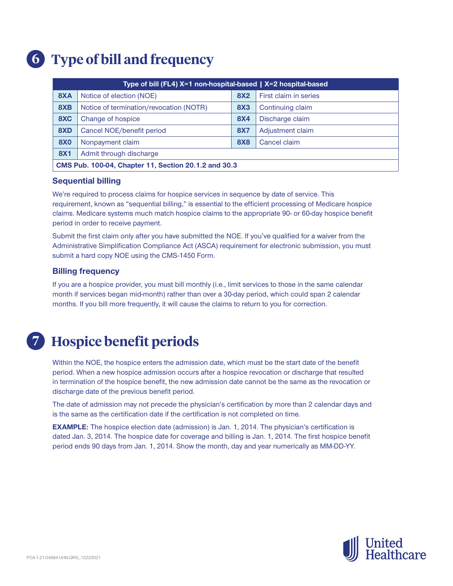# **6 Type of bill and frequency**

| Type of bill (FL4) X=1 non-hospital-based   X=2 hospital-based |                                                |            |                       |  |
|----------------------------------------------------------------|------------------------------------------------|------------|-----------------------|--|
| 8XA                                                            | Notice of election (NOE)                       | <b>8X2</b> | First claim in series |  |
| 8XB                                                            | Notice of termination/revocation (NOTR)        | <b>8X3</b> | Continuing claim      |  |
| 8XC                                                            | Change of hospice                              | <b>8X4</b> | Discharge claim       |  |
| 8XD                                                            | Cancel NOE/benefit period                      | <b>8X7</b> | Adjustment claim      |  |
| <b>8X0</b>                                                     | <b>8X8</b><br>Cancel claim<br>Nonpayment claim |            |                       |  |
| <b>8X1</b><br>Admit through discharge                          |                                                |            |                       |  |
| CMS Pub. 100-04, Chapter 11, Section 20.1.2 and 30.3           |                                                |            |                       |  |

#### **Sequential billing**

We're required to process claims for hospice services in sequence by date of service. This requirement, known as "sequential billing," is essential to the efficient processing of Medicare hospice claims. Medicare systems much match hospice claims to the appropriate 90- or 60-day hospice benefit period in order to receive payment.

Submit the first claim only after you have submitted the NOE. If you've qualified for a waiver from the Administrative Simplification Compliance Act (ASCA) requirement for electronic submission, you must submit a hard copy NOE using the CMS-1450 Form.

### **Billing frequency**

If you are a hospice provider, you must bill monthly (i.e., limit services to those in the same calendar month if services began mid-month) rather than over a 30-day period, which could span 2 calendar months. If you bill more frequently, it will cause the claims to return to you for correction.

### **7 Hospice benefit periods**

Within the NOE, the hospice enters the admission date, which must be the start date of the benefit period. When a new hospice admission occurs after a hospice revocation or discharge that resulted in termination of the hospice benefit, the new admission date cannot be the same as the revocation or discharge date of the previous benefit period.

The date of admission may not precede the physician's certification by more than 2 calendar days and is the same as the certification date if the certification is not completed on time.

**EXAMPLE:** The hospice election date (admission) is Jan. 1, 2014. The physician's certification is dated Jan. 3, 2014. The hospice date for coverage and billing is Jan. 1, 2014. The first hospice benefit period ends 90 days from Jan. 1, 2014. Show the month, day and year numerically as MM-DD-YY.

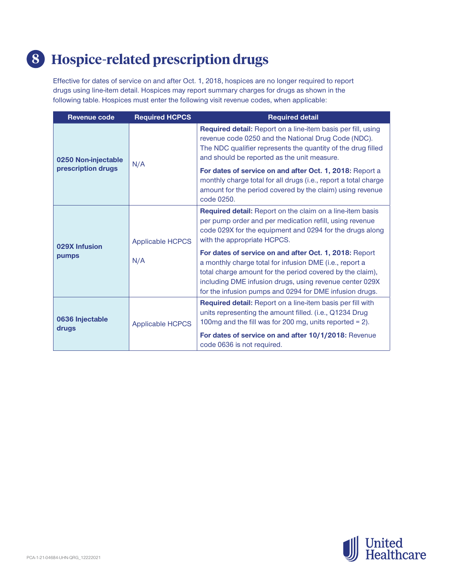## **8 Hospice-related prescription drugs**

Effective for dates of service on and after Oct. 1, 2018, hospices are no longer required to report drugs using line-item detail. Hospices may report summary charges for drugs as shown in the following table. Hospices must enter the following visit revenue codes, when applicable:

| <b>Revenue code</b>      | <b>Required HCPCS</b>   | <b>Required detail</b>                                                                                                                                                                                                                                                                               |
|--------------------------|-------------------------|------------------------------------------------------------------------------------------------------------------------------------------------------------------------------------------------------------------------------------------------------------------------------------------------------|
| 0250 Non-injectable      |                         | Required detail: Report on a line-item basis per fill, using<br>revenue code 0250 and the National Drug Code (NDC).<br>The NDC qualifier represents the quantity of the drug filled<br>and should be reported as the unit measure.                                                                   |
| prescription drugs       | N/A                     | For dates of service on and after Oct. 1, 2018: Report a<br>monthly charge total for all drugs (i.e., report a total charge<br>amount for the period covered by the claim) using revenue<br>code 0250.                                                                                               |
| 029X Infusion            | <b>Applicable HCPCS</b> | Required detail: Report on the claim on a line-item basis<br>per pump order and per medication refill, using revenue<br>code 029X for the equipment and 0294 for the drugs along<br>with the appropriate HCPCS.                                                                                      |
| pumps                    | N/A                     | For dates of service on and after Oct. 1, 2018: Report<br>a monthly charge total for infusion DME (i.e., report a<br>total charge amount for the period covered by the claim),<br>including DME infusion drugs, using revenue center 029X<br>for the infusion pumps and 0294 for DME infusion drugs. |
| 0636 Injectable<br>drugs | <b>Applicable HCPCS</b> | Required detail: Report on a line-item basis per fill with<br>units representing the amount filled. (i.e., Q1234 Drug<br>100mg and the fill was for 200 mg, units reported = $2$ ).                                                                                                                  |
|                          |                         | For dates of service on and after 10/1/2018: Revenue<br>code 0636 is not required.                                                                                                                                                                                                                   |

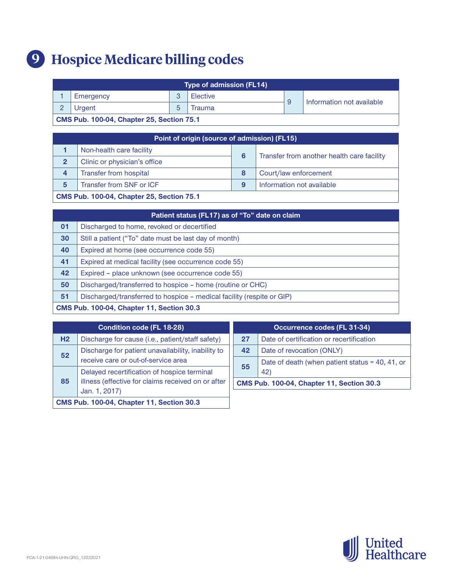# **9 Hospice Medicare billing codes**

| <b>Type of admission (FL14)</b>                  |           |  |          |                           |  |
|--------------------------------------------------|-----------|--|----------|---------------------------|--|
|                                                  | Emergency |  | Elective | Information not available |  |
| Urgent<br>Trauma                                 |           |  |          |                           |  |
| <b>CMS Pub. 100-04, Chapter 25, Section 75.1</b> |           |  |          |                           |  |

| Point of origin (source of admission) (FL15)     |                              |   |                                            |  |
|--------------------------------------------------|------------------------------|---|--------------------------------------------|--|
|                                                  | Non-health care facility     | 6 | Transfer from another health care facility |  |
| $\mathbf{2}$                                     | Clinic or physician's office |   |                                            |  |
| 4                                                | Transfer from hospital       | 8 | Court/law enforcement                      |  |
| 5                                                | Transfer from SNF or ICF     | g | Information not available                  |  |
| <b>CMS Pub. 100-04, Chapter 25, Section 75.1</b> |                              |   |                                            |  |

| Patient status (FL17) as of "To" date on claim   |                                                                       |  |
|--------------------------------------------------|-----------------------------------------------------------------------|--|
| 01                                               | Discharged to home, revoked or decertified                            |  |
| 30                                               | Still a patient ("To" date must be last day of month)                 |  |
| 40                                               | Expired at home (see occurrence code 55)                              |  |
| 41                                               | Expired at medical facility (see occurrence code 55)                  |  |
| 42                                               | Expired - place unknown (see occurrence code 55)                      |  |
| 50                                               | Discharged/transferred to hospice – home (routine or CHC)             |  |
| 51                                               | Discharged/transferred to hospice – medical facility (respite or GIP) |  |
| <b>CMS Pub. 100-04, Chapter 11, Section 30.3</b> |                                                                       |  |

| <b>Condition code (FL 18-28)</b>                         |                                                                     | Occurrence codes (FL 31-34)                             |                                                  |
|----------------------------------------------------------|---------------------------------------------------------------------|---------------------------------------------------------|--------------------------------------------------|
| H <sub>2</sub>                                           | Discharge for cause (i.e., patient/staff safety)                    | 27                                                      | Date of certification or recertification         |
| Discharge for patient unavailability, inability to<br>52 |                                                                     | 42                                                      | Date of revocation (ONLY)                        |
| receive care or out-of-service area                      |                                                                     | Date of death (when patient status = 40, 41, or $\vert$ |                                                  |
| 85                                                       | Delayed recertification of hospice terminal                         | 55                                                      | 42)                                              |
|                                                          | illness (effective for claims received on or after<br>Jan. 1, 2017) |                                                         | <b>CMS Pub. 100-04, Chapter 11, Section 30.3</b> |
| <b>CMS Pub. 100-04, Chapter 11, Section 30.3</b>         |                                                                     |                                                         |                                                  |

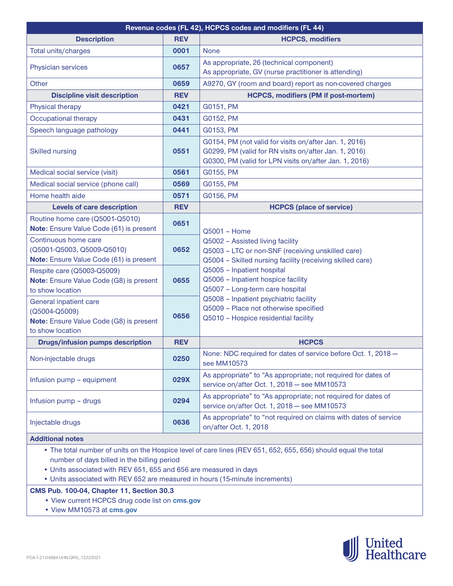| Revenue codes (FL 42), HCPCS codes and modifiers (FL 44)                                                       |            |                                                                                                                                                                           |  |  |
|----------------------------------------------------------------------------------------------------------------|------------|---------------------------------------------------------------------------------------------------------------------------------------------------------------------------|--|--|
| <b>Description</b>                                                                                             | <b>REV</b> | <b>HCPCS, modifiers</b>                                                                                                                                                   |  |  |
| Total units/charges                                                                                            | 0001       | <b>None</b>                                                                                                                                                               |  |  |
| Physician services                                                                                             | 0657       | As appropriate, 26 (technical component)<br>As appropriate, GV (nurse practitioner is attending)                                                                          |  |  |
| Other                                                                                                          | 0659       | A9270, GY (room and board) report as non-covered charges                                                                                                                  |  |  |
| <b>Discipline visit description</b>                                                                            | <b>REV</b> | <b>HCPCS, modifiers (PM if post-mortem)</b>                                                                                                                               |  |  |
| Physical therapy                                                                                               | 0421       | G0151, PM                                                                                                                                                                 |  |  |
| Occupational therapy                                                                                           | 0431       | G0152, PM                                                                                                                                                                 |  |  |
| Speech language pathology                                                                                      | 0441       | G0153, PM                                                                                                                                                                 |  |  |
| <b>Skilled nursing</b>                                                                                         | 0551       | G0154, PM (not valid for visits on/after Jan. 1, 2016)<br>G0299, PM (valid for RN visits on/after Jan. 1, 2016)<br>G0300, PM (valid for LPN visits on/after Jan. 1, 2016) |  |  |
| Medical social service (visit)                                                                                 | 0561       | G0155, PM                                                                                                                                                                 |  |  |
| Medical social service (phone call)                                                                            | 0569       | G0155, PM                                                                                                                                                                 |  |  |
| Home health aide                                                                                               | 0571       | G0156, PM                                                                                                                                                                 |  |  |
| <b>Levels of care description</b>                                                                              | <b>REV</b> | <b>HCPCS (place of service)</b>                                                                                                                                           |  |  |
| Routine home care (Q5001-Q5010)<br>Note: Ensure Value Code (61) is present                                     | 0651       | Q5001 - Home                                                                                                                                                              |  |  |
| Continuous home care<br>(Q5001-Q5003, Q5009-Q5010)<br>Note: Ensure Value Code (61) is present                  | 0652       | Q5002 - Assisted living facility<br>Q5003 - LTC or non-SNF (receiving unskilled care)<br>Q5004 - Skilled nursing facility (receiving skilled care)                        |  |  |
| Respite care (Q5003-Q5009)<br>Note: Ensure Value Code (G8) is present<br>to show location                      | 0655       | Q5005 - Inpatient hospital<br>Q5006 - Inpatient hospice facility<br>Q5007 - Long-term care hospital                                                                       |  |  |
| General inpatient care<br>(Q5004-Q5009)<br>Note: Ensure Value Code (G8) is present<br>to show location         | 0656       | Q5008 - Inpatient psychiatric facility<br>Q5009 - Place not otherwise specified<br>Q5010 - Hospice residential facility                                                   |  |  |
| <b>Drugs/infusion pumps description</b>                                                                        | <b>REV</b> | <b>HCPCS</b>                                                                                                                                                              |  |  |
| Non-injectable drugs                                                                                           | 0250       | None: NDC required for dates of service before Oct. 1, 2018 -<br>see MM10573                                                                                              |  |  |
| Infusion pump - equipment                                                                                      | 029X       | As appropriate" to "As appropriate; not required for dates of<br>service on/after Oct. 1, 2018 - see MM10573                                                              |  |  |
| Infusion pump - drugs                                                                                          | 0294       | As appropriate" to "As appropriate; not required for dates of<br>service on/after Oct. 1, 2018 - see MM10573                                                              |  |  |
| Injectable drugs                                                                                               | 0636       | As appropriate" to "not required on claims with dates of service<br>on/after Oct. 1, 2018                                                                                 |  |  |
| <b>Additional notes</b>                                                                                        |            |                                                                                                                                                                           |  |  |
| • The total number of units on the Hospice level of care lines (REV 651, 652, 655, 656) should equal the total |            |                                                                                                                                                                           |  |  |

- number of days billed in the billing period
- Units associated with REV 651, 655 and 656 are measured in days
- Units associated with REV 652 are measured in hours (15-minute increments)

#### **CMS Pub. 100-04, Chapter 11, Section 30.3**

- View current HCPCS drug code list on **[cms.gov](https://www.cms.gov/Medicare/Coding/HCPCSReleaseCodeSets/Alpha-Numeric-HCPCS)**
- View MM10573 at **[cms.gov](https://www.cms.gov/Outreach-and-Education/Medicare-Learning-Network-MLN/MLNMattersArticles/downloads/mm10573.pdf)**